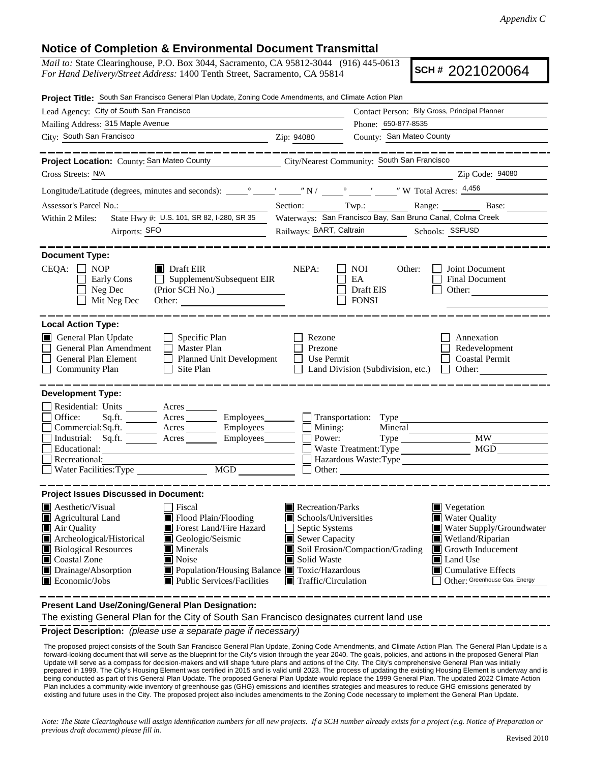## **Notice of Completion & Environmental Document Transmittal**

*Mail to:* State Clearinghouse, P.O. Box 3044, Sacramento, CA 95812-3044 (916) 445-0613 *For Hand Delivery/Street Address:* 1400 Tenth Street, Sacramento, CA 95814

**SCH #** 2021020064

| Project Title: South San Francisco General Plan Update, Zoning Code Amendments, and Climate Action Plan                                                                                                                        |                                                                                           |                                                                                                       |                                                                           |                                                                       |  |  |  |
|--------------------------------------------------------------------------------------------------------------------------------------------------------------------------------------------------------------------------------|-------------------------------------------------------------------------------------------|-------------------------------------------------------------------------------------------------------|---------------------------------------------------------------------------|-----------------------------------------------------------------------|--|--|--|
| Lead Agency: City of South San Francisco                                                                                                                                                                                       |                                                                                           | Contact Person: Bily Gross, Principal Planner                                                         |                                                                           |                                                                       |  |  |  |
| Mailing Address: 315 Maple Avenue                                                                                                                                                                                              | Phone: 650-877-8535                                                                       |                                                                                                       |                                                                           |                                                                       |  |  |  |
| City: South San Francisco                                                                                                                                                                                                      |                                                                                           | Zip: 94080                                                                                            | County: San Mateo County                                                  |                                                                       |  |  |  |
|                                                                                                                                                                                                                                | __________                                                                                |                                                                                                       |                                                                           |                                                                       |  |  |  |
| Project Location: County: San Mateo County City/Nearest Community: South San Francisco                                                                                                                                         |                                                                                           |                                                                                                       |                                                                           |                                                                       |  |  |  |
| Cross Streets: N/A                                                                                                                                                                                                             |                                                                                           |                                                                                                       |                                                                           | Zip Code: 94080                                                       |  |  |  |
|                                                                                                                                                                                                                                |                                                                                           |                                                                                                       |                                                                           |                                                                       |  |  |  |
| Assessor's Parcel No.: Base: Base: Base: Base: Base: Base: Base: Base: Base: Base: Base: Base: Base: Base: Base: Base: Base: Base: Base: Base: Base: Base: Base: Base: Base: Base: Base: Base: Base: Base: Base: Base: Base: B |                                                                                           |                                                                                                       |                                                                           |                                                                       |  |  |  |
| Within 2 Miles:                                                                                                                                                                                                                |                                                                                           | State Hwy #: U.S. 101, SR 82, I-280, SR 35 Waterways: San Francisco Bay, San Bruno Canal, Colma Creek |                                                                           |                                                                       |  |  |  |
| Airports: SFO                                                                                                                                                                                                                  |                                                                                           | Railways: BART, Caltrain Schools: SSFUSD                                                              |                                                                           |                                                                       |  |  |  |
| <b>Document Type:</b><br>$CEQA: \Box NOP$<br>Early Cons<br>Neg Dec<br>Mit Neg Dec                                                                                                                                              | $\blacksquare$ Draft EIR<br>$\Box$ Supplement/Subsequent EIR<br>(Prior SCH No.)<br>Other: | NEPA:                                                                                                 | NOI<br>Other:<br>EA<br>Draft EIS<br><b>FONSI</b>                          | Joint Document<br>Final Document<br>Other:                            |  |  |  |
| <b>Local Action Type:</b><br>General Plan Update<br>General Plan Amendment<br>General Plan Element<br><b>Community Plan</b>                                                                                                    | $\Box$ Specific Plan<br>Master Plan<br>Planned Unit Development<br>$\Box$<br>Site Plan    | Rezone<br>Prezone<br>Use Permit                                                                       | Land Division (Subdivision, etc.)                                         | Annexation<br>Redevelopment<br><b>Coastal Permit</b><br>$\Box$ Other: |  |  |  |
| <b>Development Type:</b><br>Residential: Units ________ Acres _______<br>Office:                                                                                                                                               | Sq.ft. _________ Acres __________ Employees________                                       |                                                                                                       | Transportation: Type                                                      |                                                                       |  |  |  |
| Commercial:Sq.ft. _________ Acres __________ Employees________                                                                                                                                                                 |                                                                                           |                                                                                                       | Mineral                                                                   |                                                                       |  |  |  |
| Industrial: Sq.ft. _______ Acres _______ Employees_______                                                                                                                                                                      |                                                                                           | Mining:<br>Power:                                                                                     |                                                                           | MW                                                                    |  |  |  |
| Educational:                                                                                                                                                                                                                   |                                                                                           |                                                                                                       | Waste Treatment: Type                                                     | $MG\bar{D}$                                                           |  |  |  |
| Recreational:<br>Water Facilities: Type                                                                                                                                                                                        | MGD                                                                                       |                                                                                                       |                                                                           |                                                                       |  |  |  |
| <b>Project Issues Discussed in Document:</b>                                                                                                                                                                                   |                                                                                           |                                                                                                       |                                                                           |                                                                       |  |  |  |
| $\blacksquare$ Aesthetic/Visual                                                                                                                                                                                                | $\Box$ Fiscal                                                                             | $\blacksquare$ Recreation/Parks                                                                       |                                                                           | Vegetation                                                            |  |  |  |
| Agricultural Land                                                                                                                                                                                                              | Flood Plain/Flooding<br>Schools/Universities                                              |                                                                                                       |                                                                           | <b>Water Quality</b>                                                  |  |  |  |
| Air Quality                                                                                                                                                                                                                    | Forest Land/Fire Hazard                                                                   | Septic Systems                                                                                        |                                                                           | Water Supply/Groundwater                                              |  |  |  |
| Geologic/Seismic<br>Archeological/Historical                                                                                                                                                                                   |                                                                                           | Sewer Capacity<br>Wetland/Riparian                                                                    |                                                                           |                                                                       |  |  |  |
| <b>Biological Resources</b><br>$\blacksquare$ Minerals<br>Noise<br>Coastal Zone                                                                                                                                                |                                                                                           | Solid Waste                                                                                           | Soil Erosion/Compaction/Grading<br>Growth Inducement<br><b>■</b> Land Use |                                                                       |  |  |  |
| Drainage/Absorption                                                                                                                                                                                                            | Population/Housing Balance ■ Toxic/Hazardous                                              |                                                                                                       |                                                                           | $\blacksquare$ Cumulative Effects                                     |  |  |  |
| $\blacksquare$ Economic/Jobs                                                                                                                                                                                                   | ■ Public Services/Facilities                                                              | $\blacksquare$ Traffic/Circulation                                                                    |                                                                           | Other: Greenhouse Gas, Energy                                         |  |  |  |
|                                                                                                                                                                                                                                |                                                                                           |                                                                                                       |                                                                           |                                                                       |  |  |  |

**Present Land Use/Zoning/General Plan Designation:**

The existing General Plan for the City of South San Francisco designates current land use

**Project Description:** *(please use a separate page if necessary)*

 The proposed project consists of the South San Francisco General Plan Update, Zoning Code Amendments, and Climate Action Plan. The General Plan Update is a forward-looking document that will serve as the blueprint for the City's vision through the year 2040. The goals, policies, and actions in the proposed General Plan Update will serve as a compass for decision-makers and will shape future plans and actions of the City. The City's comprehensive General Plan was initially prepared in 1999. The City's Housing Element was certified in 2015 and is valid until 2023. The process of updating the existing Housing Element is underway and is being conducted as part of this General Plan Update. The proposed General Plan Update would replace the 1999 General Plan. The updated 2022 Climate Action Plan includes a community-wide inventory of greenhouse gas (GHG) emissions and identifies strategies and measures to reduce GHG emissions generated by existing and future uses in the City. The proposed project also includes amendments to the Zoning Code necessary to implement the General Plan Update.

*Note: The State Clearinghouse will assign identification numbers for all new projects. If a SCH number already exists for a project (e.g. Notice of Preparation or previous draft document) please fill in.*